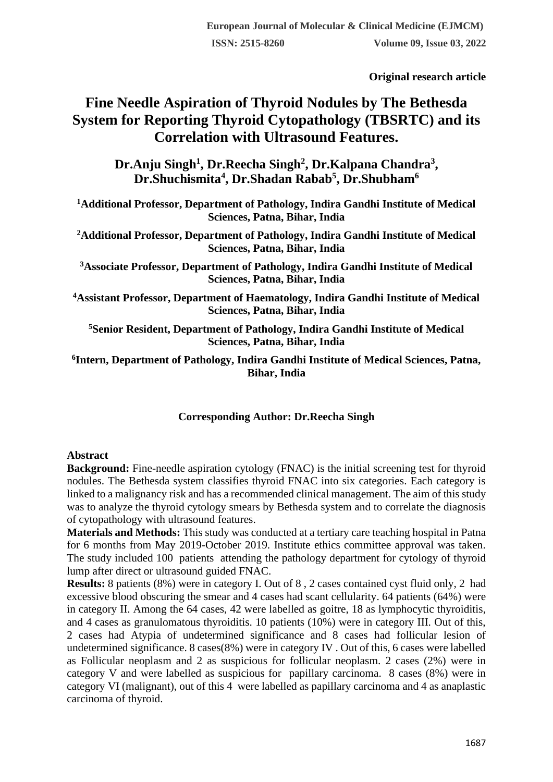**Original research article** 

# **Fine Needle Aspiration of Thyroid Nodules by The Bethesda System for Reporting Thyroid Cytopathology (TBSRTC) and its Correlation with Ultrasound Features.**

**Dr.Anju Singh<sup>1</sup> , Dr.Reecha Singh<sup>2</sup> , Dr.Kalpana Chandra<sup>3</sup> , Dr.Shuchismita<sup>4</sup> , Dr.Shadan Rabab<sup>5</sup> , Dr.Shubham<sup>6</sup>**

**<sup>1</sup>Additional Professor, Department of Pathology, Indira Gandhi Institute of Medical Sciences, Patna, Bihar, India**

**<sup>2</sup>Additional Professor, Department of Pathology, Indira Gandhi Institute of Medical Sciences, Patna, Bihar, India**

**<sup>3</sup>Associate Professor, Department of Pathology, Indira Gandhi Institute of Medical Sciences, Patna, Bihar, India**

**<sup>4</sup>Assistant Professor, Department of Haematology, Indira Gandhi Institute of Medical Sciences, Patna, Bihar, India**

**<sup>5</sup>Senior Resident, Department of Pathology, Indira Gandhi Institute of Medical Sciences, Patna, Bihar, India**

**6 Intern, Department of Pathology, Indira Gandhi Institute of Medical Sciences, Patna, Bihar, India**

## **Corresponding Author: Dr.Reecha Singh**

## **Abstract**

**Background:** Fine-needle aspiration cytology (FNAC) is the initial screening test for thyroid nodules. The Bethesda system classifies thyroid FNAC into six categories. Each category is linked to a malignancy risk and has a recommended clinical management. The aim of this study was to analyze the thyroid cytology smears by Bethesda system and to correlate the diagnosis of cytopathology with ultrasound features.

**Materials and Methods:** This study was conducted at a tertiary care teaching hospital in Patna for 6 months from May 2019-October 2019. Institute ethics committee approval was taken. The study included 100 patients attending the pathology department for cytology of thyroid lump after direct or ultrasound guided FNAC.

**Results:** 8 patients (8%) were in category I. Out of 8 , 2 cases contained cyst fluid only, 2 had excessive blood obscuring the smear and 4 cases had scant cellularity. 64 patients (64%) were in category II. Among the 64 cases, 42 were labelled as goitre, 18 as lymphocytic thyroiditis, and 4 cases as granulomatous thyroiditis. 10 patients (10%) were in category III. Out of this, 2 cases had Atypia of undetermined significance and 8 cases had follicular lesion of undetermined significance. 8 cases(8%) were in category IV . Out of this, 6 cases were labelled as Follicular neoplasm and 2 as suspicious for follicular neoplasm. 2 cases (2%) were in category V and were labelled as suspicious for papillary carcinoma. 8 cases (8%) were in category VI (malignant), out of this 4 were labelled as papillary carcinoma and 4 as anaplastic carcinoma of thyroid.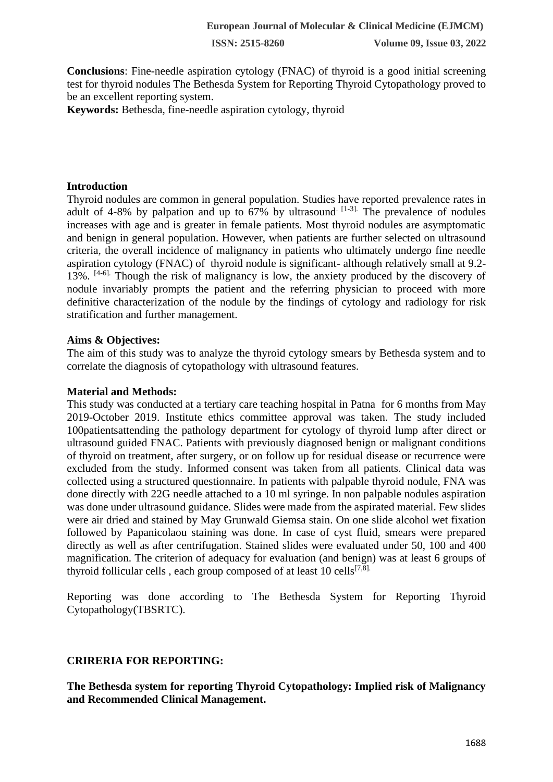**Conclusions**: Fine-needle aspiration cytology (FNAC) of thyroid is a good initial screening test for thyroid nodules The Bethesda System for Reporting Thyroid Cytopathology proved to be an excellent reporting system.

**Keywords:** Bethesda, fine-needle aspiration cytology, thyroid

#### **Introduction**

Thyroid nodules are common in general population. Studies have reported prevalence rates in adult of 4-8% by palpation and up to  $67\%$  by ultrasound  $[1-3]$ . The prevalence of nodules increases with age and is greater in female patients. Most thyroid nodules are asymptomatic and benign in general population. However, when patients are further selected on ultrasound criteria, the overall incidence of malignancy in patients who ultimately undergo fine needle aspiration cytology (FNAC) of thyroid nodule is significant- although relatively small at 9.2- 13%. [4-6]. Though the risk of malignancy is low, the anxiety produced by the discovery of nodule invariably prompts the patient and the referring physician to proceed with more definitive characterization of the nodule by the findings of cytology and radiology for risk stratification and further management.

#### **Aims & Objectives:**

The aim of this study was to analyze the thyroid cytology smears by Bethesda system and to correlate the diagnosis of cytopathology with ultrasound features.

#### **Material and Methods:**

This study was conducted at a tertiary care teaching hospital in Patna for 6 months from May 2019-October 2019. Institute ethics committee approval was taken. The study included 100patientsattending the pathology department for cytology of thyroid lump after direct or ultrasound guided FNAC. Patients with previously diagnosed benign or malignant conditions of thyroid on treatment, after surgery, or on follow up for residual disease or recurrence were excluded from the study. Informed consent was taken from all patients. Clinical data was collected using a structured questionnaire. In patients with palpable thyroid nodule, FNA was done directly with 22G needle attached to a 10 ml syringe. In non palpable nodules aspiration was done under ultrasound guidance. Slides were made from the aspirated material. Few slides were air dried and stained by May Grunwald Giemsa stain. On one slide alcohol wet fixation followed by Papanicolaou staining was done. In case of cyst fluid, smears were prepared directly as well as after centrifugation. Stained slides were evaluated under 50, 100 and 400 magnification. The criterion of adequacy for evaluation (and benign) was at least 6 groups of thyroid follicular cells, each group composed of at least  $10$  cells<sup>[7,8].</sup>

Reporting was done according to The Bethesda System for Reporting Thyroid Cytopathology(TBSRTC).

#### **CRIRERIA FOR REPORTING:**

**The Bethesda system for reporting Thyroid Cytopathology: Implied risk of Malignancy and Recommended Clinical Management.**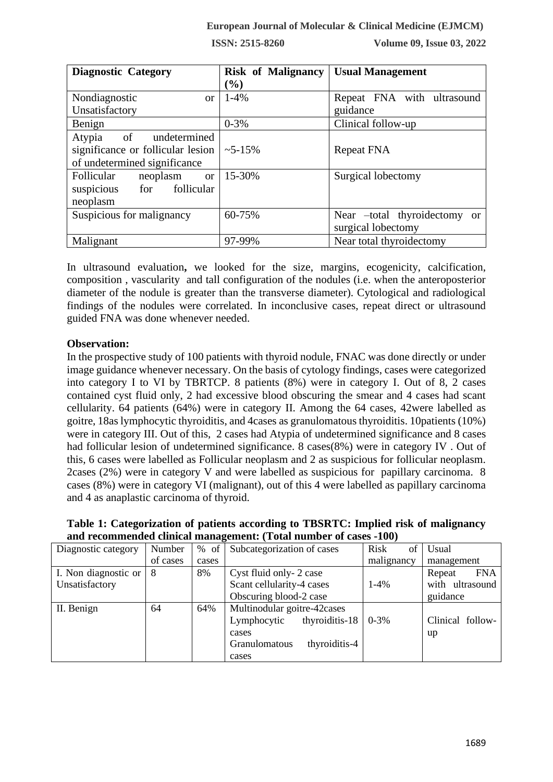| <b>Diagnostic Category</b>           | <b>Risk of Malignancy</b> | <b>Usual Management</b>      |  |
|--------------------------------------|---------------------------|------------------------------|--|
|                                      | $\mathcal{O}_0$           |                              |  |
| Nondiagnostic<br>$\alpha$            | $1 - 4\%$                 | Repeat FNA with ultrasound   |  |
| Unsatisfactory                       |                           | guidance                     |  |
| Benign                               | $0 - 3\%$                 | Clinical follow-up           |  |
| $\circ$ of<br>undetermined<br>Atypia |                           |                              |  |
| significance or follicular lesion    | $~15\%$                   | Repeat FNA                   |  |
| of undetermined significance         |                           |                              |  |
| Follicular<br>neoplasm<br>or         | 15-30%                    | Surgical lobectomy           |  |
| suspicious<br>for follicular         |                           |                              |  |
| neoplasm                             |                           |                              |  |
| Suspicious for malignancy            | 60-75%                    | Near –total thyroidectomy or |  |
|                                      |                           | surgical lobectomy           |  |
| Malignant                            | 97-99%                    | Near total thyroidectomy     |  |

In ultrasound evaluation**,** we looked for the size, margins, ecogenicity, calcification, composition , vascularity and tall configuration of the nodules (i.e. when the anteroposterior diameter of the nodule is greater than the transverse diameter). Cytological and radiological findings of the nodules were correlated. In inconclusive cases, repeat direct or ultrasound guided FNA was done whenever needed.

## **Observation:**

In the prospective study of 100 patients with thyroid nodule, FNAC was done directly or under image guidance whenever necessary. On the basis of cytology findings, cases were categorized into category I to VI by TBRTCP. 8 patients (8%) were in category I. Out of 8, 2 cases contained cyst fluid only, 2 had excessive blood obscuring the smear and 4 cases had scant cellularity. 64 patients (64%) were in category II. Among the 64 cases, 42were labelled as goitre, 18as lymphocytic thyroiditis, and 4cases as granulomatous thyroiditis. 10patients (10%) were in category III. Out of this, 2 cases had Atypia of undetermined significance and 8 cases had follicular lesion of undetermined significance. 8 cases(8%) were in category IV . Out of this, 6 cases were labelled as Follicular neoplasm and 2 as suspicious for follicular neoplasm. 2cases (2%) were in category V and were labelled as suspicious for papillary carcinoma. 8 cases (8%) were in category VI (malignant), out of this 4 were labelled as papillary carcinoma and 4 as anaplastic carcinoma of thyroid.

| Table 1: Categorization of patients according to TBSRTC: Implied risk of malignancy |
|-------------------------------------------------------------------------------------|
| and recommended clinical management: (Total number of cases -100)                   |

| Diagnostic category  | Number   | % of  | Subcategorization of cases     | Risk<br>of | Usual                |
|----------------------|----------|-------|--------------------------------|------------|----------------------|
|                      | of cases | cases |                                | malignancy | management           |
| I. Non diagnostic or | 8        | 8%    | Cyst fluid only-2 case         |            | <b>FNA</b><br>Repeat |
| Unsatisfactory       |          |       | Scant cellularity-4 cases      | $1-4%$     | with ultrasound      |
|                      |          |       | Obscuring blood-2 case         |            | guidance             |
| II. Benign           | 64       | 64%   | Multinodular goitre-42 cases   |            |                      |
|                      |          |       | thyroiditis-18<br>Lymphocytic  | $0 - 3\%$  | Clinical follow-     |
|                      |          |       | cases                          |            | up                   |
|                      |          |       | thyroiditis-4<br>Granulomatous |            |                      |
|                      |          |       | cases                          |            |                      |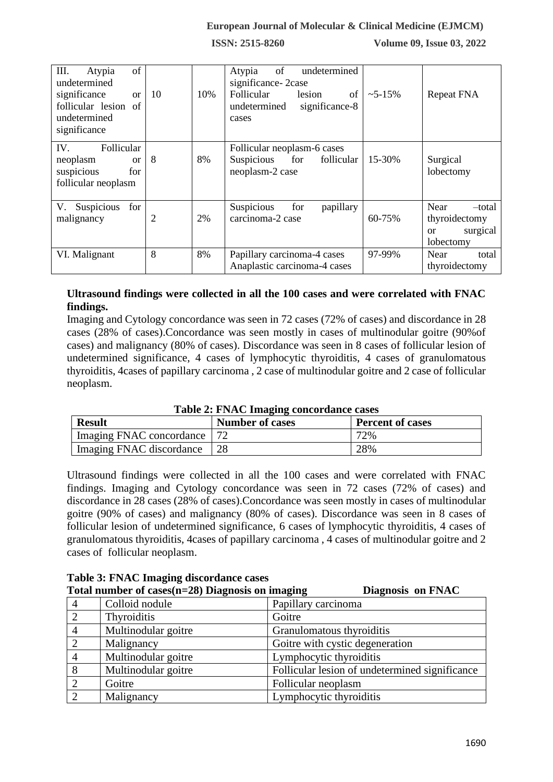| III.<br>of<br>Atypia<br>undetermined<br>significance<br><sub>or</sub><br>follicular lesion of<br>undetermined<br>significance | 10 | 10% | of<br>undetermined<br>Atypia<br>significance-2case<br>Follicular<br>of<br>lesion<br>significance-8<br>undetermined<br>cases | $\sim$ 5-15% | <b>Repeat FNA</b>                                              |
|-------------------------------------------------------------------------------------------------------------------------------|----|-----|-----------------------------------------------------------------------------------------------------------------------------|--------------|----------------------------------------------------------------|
| IV.<br>Follicular<br>neoplasm<br>$\alpha$<br>suspicious<br>for<br>follicular neoplasm                                         | 8  | 8%  | Follicular neoplasm-6 cases<br>follicular<br>Suspicious for<br>neoplasm-2 case                                              | 15-30%       | Surgical<br>lobectomy                                          |
| V. Suspicious<br>for<br>malignancy                                                                                            | 2  | 2%  | Suspicious<br>for<br>papillary<br>carcinoma-2 case                                                                          | 60-75%       | Near<br>-total<br>thyroidectomy<br>surgical<br>or<br>lobectomy |
| VI. Malignant                                                                                                                 | 8  | 8%  | Papillary carcinoma-4 cases<br>Anaplastic carcinoma-4 cases                                                                 | 97-99%       | Near<br>total<br>thyroidectomy                                 |

# **Ultrasound findings were collected in all the 100 cases and were correlated with FNAC findings.**

Imaging and Cytology concordance was seen in 72 cases (72% of cases) and discordance in 28 cases (28% of cases).Concordance was seen mostly in cases of multinodular goitre (90%of cases) and malignancy (80% of cases). Discordance was seen in 8 cases of follicular lesion of undetermined significance, 4 cases of lymphocytic thyroiditis, 4 cases of granulomatous thyroiditis, 4cases of papillary carcinoma , 2 case of multinodular goitre and 2 case of follicular neoplasm.

| <b>Table 2: FNAC Imaging concordance cases</b> |                        |                         |
|------------------------------------------------|------------------------|-------------------------|
| <b>Result</b>                                  | <b>Number of cases</b> | <b>Percent of cases</b> |

| <b>Result</b>                 | <b>Number of cases</b> | <b>Percent of cases</b> |
|-------------------------------|------------------------|-------------------------|
| Imaging FNAC concordance   72 |                        | 72%                     |
| Imaging FNAC discordance      |                        | 28%                     |
|                               |                        |                         |

Ultrasound findings were collected in all the 100 cases and were correlated with FNAC findings. Imaging and Cytology concordance was seen in 72 cases (72% of cases) and discordance in 28 cases (28% of cases).Concordance was seen mostly in cases of multinodular goitre (90% of cases) and malignancy (80% of cases). Discordance was seen in 8 cases of follicular lesion of undetermined significance, 6 cases of lymphocytic thyroiditis, 4 cases of granulomatous thyroiditis, 4cases of papillary carcinoma , 4 cases of multinodular goitre and 2 cases of follicular neoplasm.

|   | Table of Trust Innaging uncordance cases            |                                                |  |  |  |
|---|-----------------------------------------------------|------------------------------------------------|--|--|--|
|   | Total number of cases $(n=28)$ Diagnosis on imaging | Diagnosis on FNAC                              |  |  |  |
| 4 | Colloid nodule                                      | Papillary carcinoma                            |  |  |  |
|   | Thyroiditis                                         | Goitre                                         |  |  |  |
|   | Multinodular goitre                                 | Granulomatous thyroiditis                      |  |  |  |
|   | Malignancy                                          | Goitre with cystic degeneration                |  |  |  |
|   | Multinodular goitre                                 | Lymphocytic thyroiditis                        |  |  |  |
| 8 | Multinodular goitre                                 | Follicular lesion of undetermined significance |  |  |  |
|   | Goitre                                              | Follicular neoplasm                            |  |  |  |
|   | Malignancy                                          | Lymphocytic thyroiditis                        |  |  |  |

**Table 3: FNAC Imaging discordance cases**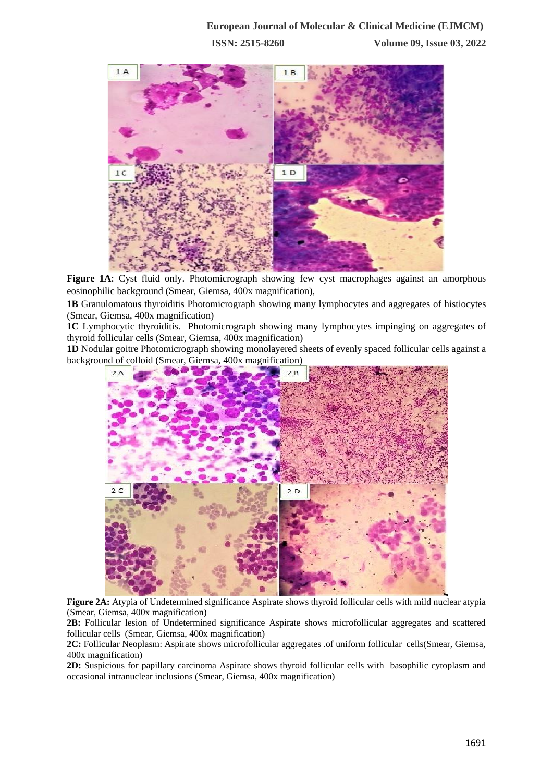

**Figure 1A**: Cyst fluid only. Photomicrograph showing few cyst macrophages against an amorphous eosinophilic background (Smear, Giemsa, 400x magnification),

**1B** Granulomatous thyroiditis Photomicrograph showing many lymphocytes and aggregates of histiocytes (Smear, Giemsa, 400x magnification)

**1C** Lymphocytic thyroiditis. Photomicrograph showing many lymphocytes impinging on aggregates of thyroid follicular cells (Smear, Giemsa, 400x magnification)

**1D** Nodular goitre Photomicrograph showing monolayered sheets of evenly spaced follicular cells against a background of colloid (Smear, Giemsa, 400x magnification)



**Figure 2A:** Atypia of Undetermined significance Aspirate shows thyroid follicular cells with mild nuclear atypia (Smear, Giemsa, 400x magnification)

**2B:** Follicular lesion of Undetermined significance Aspirate shows microfollicular aggregates and scattered follicular cells (Smear, Giemsa, 400x magnification)

**2C:** Follicular Neoplasm: Aspirate shows microfollicular aggregates .of uniform follicular cells(Smear, Giemsa, 400x magnification)

**2D:** Suspicious for papillary carcinoma Aspirate shows thyroid follicular cells with basophilic cytoplasm and occasional intranuclear inclusions (Smear, Giemsa, 400x magnification)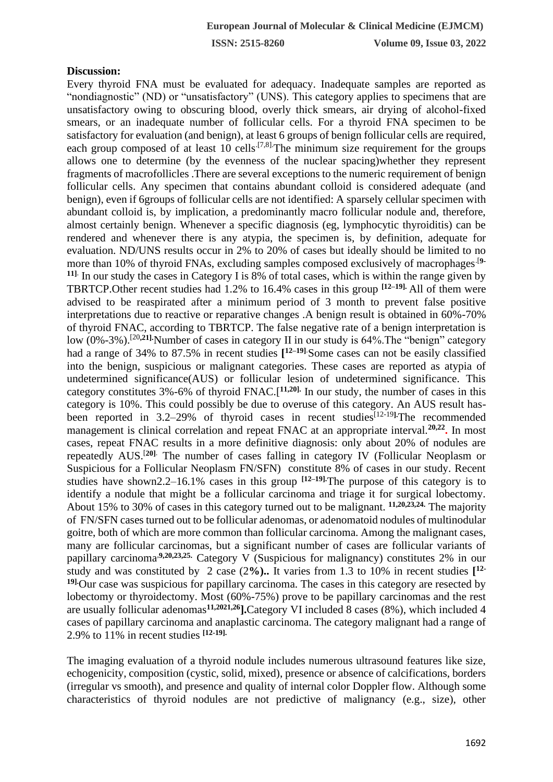#### **Discussion:**

Every thyroid FNA must be evaluated for adequacy. Inadequate samples are reported as "nondiagnostic" (ND) or "unsatisfactory" (UNS). This category applies to specimens that are unsatisfactory owing to obscuring blood, overly thick smears, air drying of alcohol-fixed smears, or an inadequate number of follicular cells. For a thyroid FNA specimen to be satisfactory for evaluation (and benign), at least 6 groups of benign follicular cells are required, each group composed of at least 10 cells<sup> $[7,8]$ </sup>. The minimum size requirement for the groups allows one to determine (by the evenness of the nuclear spacing)whether they represent fragments of macrofollicles .There are several exceptions to the numeric requirement of benign follicular cells. Any specimen that contains abundant colloid is considered adequate (and benign), even if 6groups of follicular cells are not identified: A sparsely cellular specimen with abundant colloid is, by implication, a predominantly macro follicular nodule and, therefore, almost certainly benign. Whenever a specific diagnosis (eg, lymphocytic thyroiditis) can be rendered and whenever there is any atypia, the specimen is, by definition, adequate for evaluation. ND/UNS results occur in 2% to 20% of cases but ideally should be limited to no more than 10% of thyroid FNAs, excluding samples composed exclusively of macrophages.[**9- 11]**. In our study the cases in Category I is 8% of total cases, which is within the range given by TBRTCP.Other recent studies had 1.2% to 16.4% cases in this group **[12–19].** All of them were advised to be reaspirated after a minimum period of 3 month to prevent false positive interpretations due to reactive or reparative changes .A benign result is obtained in 60%-70% of thyroid FNAC, according to TBRTCP. The false negative rate of a benign interpretation is low (0%-3%).<sup>[20,21]</sup> Number of cases in category II in our study is 64%. The "benign" category had a range of 34% to 87.5% in recent studies **[ 12–19]**.Some cases can not be easily classified into the benign, suspicious or malignant categories. These cases are reported as atypia of undetermined significance(AUS) or follicular lesion of undetermined significance. This category constitutes 3%-6% of thyroid FNAC.[**11,20].** In our study, the number of cases in this category is 10%. This could possibly be due to overuse of this category. An AUS result hasbeen reported in 3.2–29% of thyroid cases in recent studies<sup>[12-19]</sup>. The recommended management is clinical correlation and repeat FNAC at an appropriate interval.<sup>20,22</sup>. In most cases, repeat FNAC results in a more definitive diagnosis: only about 20% of nodules are repeatedly AUS.[**20]**. The number of cases falling in category IV (Follicular Neoplasm or Suspicious for a Follicular Neoplasm FN/SFN) constitute 8% of cases in our study. Recent studies have shown2.2–16.1% cases in this group **[12–19].**The purpose of this category is to identify a nodule that might be a follicular carcinoma and triage it for surgical lobectomy. About 15% to 30% of cases in this category turned out to be malignant. **11,20,23,24.** The majority of FN/SFN cases turned out to be follicular adenomas, or adenomatoid nodules of multinodular goitre, both of which are more common than follicular carcinoma. Among the malignant cases, many are follicular carcinomas, but a significant number of cases are follicular variants of papillary carcinoma,**9,20,23,25.** Category V (Suspicious for malignancy) constitutes 2% in our study and was constituted by 2 case (2**%)..** It varies from 1.3 to 10% in recent studies **[ 12- 19].**Our case was suspicious for papillary carcinoma. The cases in this category are resected by lobectomy or thyroidectomy. Most (60%-75%) prove to be papillary carcinomas and the rest are usually follicular adenomas**11,2021,26].**Category VI included 8 cases (8%), which included 4 cases of papillary carcinoma and anaplastic carcinoma. The category malignant had a range of 2.9% to 11% in recent studies **[12-19].**

The imaging evaluation of a thyroid nodule includes numerous ultrasound features like size, echogenicity, composition (cystic, solid, mixed), presence or absence of calcifications, borders (irregular vs smooth), and presence and quality of internal color Doppler flow. Although some characteristics of thyroid nodules are not predictive of malignancy (e.g., size), other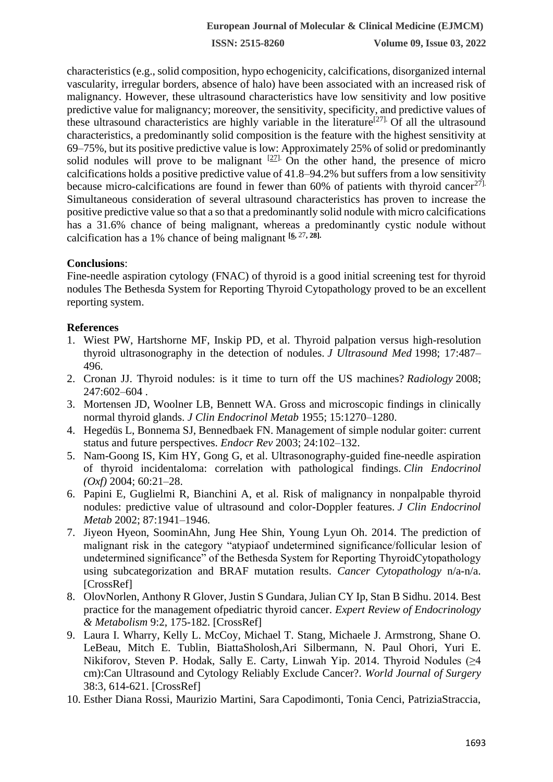characteristics (e.g., solid composition, hypo echogenicity, calcifications, disorganized internal vascularity, irregular borders, absence of halo) have been associated with an increased risk of malignancy. However, these ultrasound characteristics have low sensitivity and low positive predictive value for malignancy; moreover, the sensitivity, specificity, and predictive values of these ultrasound characteristics are highly variable in the literature<sup>[27]</sup>. Of all the ultrasound characteristics, a predominantly solid composition is the feature with the highest sensitivity at 69–75%, but its positive predictive value is low: Approximately 25% of solid or predominantly solid nodules will prove to be malignant  $[27]$ . On the other hand, the presence of micro calcifications holds a positive predictive value of 41.8–94.2% but suffers from a low sensitivity because micro-calcifications are found in fewer than  $60\%$  of patients with thyroid cancer<sup>27].</sup> Simultaneous consideration of several ultrasound characteristics has proven to increase the positive predictive value so that a so that a predominantly solid nodule with micro calcifications has a 31.6% chance of being malignant, whereas a predominantly cystic nodule without calcification has a 1% chance of being malignant **[\[6,](http://www.ajronline.org/doi/full/10.2214/AJR.12.9071)** <sup>27</sup>**, 28].**

## **Conclusions**:

Fine-needle aspiration cytology (FNAC) of thyroid is a good initial screening test for thyroid nodules The Bethesda System for Reporting Thyroid Cytopathology proved to be an excellent reporting system.

## **References**

- 1. Wiest PW, Hartshorne MF, Inskip PD, et al. Thyroid palpation versus high-resolution thyroid ultrasonography in the detection of nodules. *J Ultrasound Med* 1998; 17:487– 496.
- 2. Cronan JJ. Thyroid nodules: is it time to turn off the US machines? *Radiology* 2008; 247:602–604 .
- 3. Mortensen JD, Woolner LB, Bennett WA. Gross and microscopic findings in clinically normal thyroid glands. *J Clin Endocrinol Metab* 1955; 15:1270–1280.
- 4. Hegedüs L, Bonnema SJ, Bennedbaek FN. Management of simple nodular goiter: current status and future perspectives. *Endocr Rev* 2003; 24:102–132.
- 5. Nam-Goong IS, Kim HY, Gong G, et al. Ultrasonography-guided fine-needle aspiration of thyroid incidentaloma: correlation with pathological findings. *Clin Endocrinol (Oxf)* 2004; 60:21–28.
- 6. Papini E, Guglielmi R, Bianchini A, et al. Risk of malignancy in nonpalpable thyroid nodules: predictive value of ultrasound and color-Doppler features. *J Clin Endocrinol Metab* 2002; 87:1941–1946.
- 7. Jiyeon Hyeon, SoominAhn, Jung Hee Shin, Young Lyun Oh. 2014. The prediction of malignant risk in the category "atypiaof undetermined significance/follicular lesion of undetermined significance" of the Bethesda System for Reporting ThyroidCytopathology using subcategorization and BRAF mutation results. *Cancer Cytopathology* n/a-n/a. [CrossRef]
- 8. OlovNorlen, Anthony R Glover, Justin S Gundara, Julian CY Ip, Stan B Sidhu. 2014. Best practice for the management ofpediatric thyroid cancer. *Expert Review of Endocrinology & Metabolism* 9:2, 175-182. [CrossRef]
- 9. Laura I. Wharry, Kelly L. McCoy, Michael T. Stang, Michaele J. Armstrong, Shane O. LeBeau, Mitch E. Tublin, BiattaSholosh,Ari Silbermann, N. Paul Ohori, Yuri E. Nikiforov, Steven P. Hodak, Sally E. Carty, Linwah Yip. 2014. Thyroid Nodules (≥4 cm):Can Ultrasound and Cytology Reliably Exclude Cancer?. *World Journal of Surgery*  38:3, 614-621. [CrossRef]
- 10. Esther Diana Rossi, Maurizio Martini, Sara Capodimonti, Tonia Cenci, PatriziaStraccia,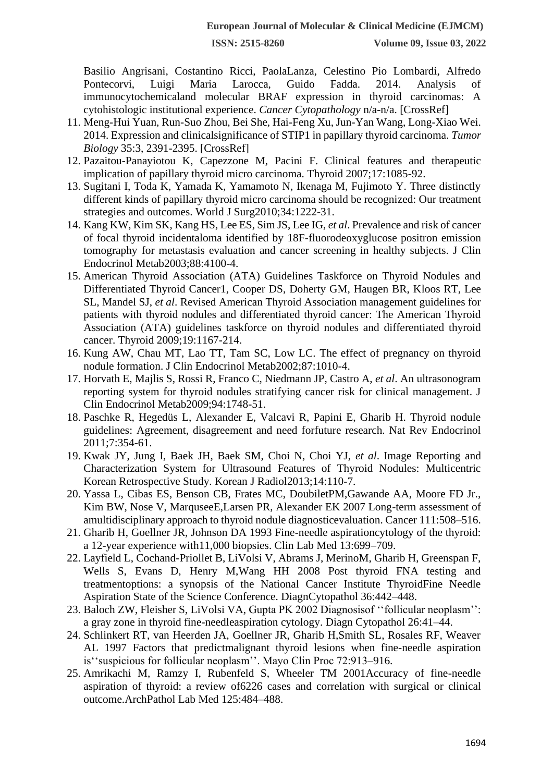Basilio Angrisani, Costantino Ricci, PaolaLanza, Celestino Pio Lombardi, Alfredo Pontecorvi, Luigi Maria Larocca, Guido Fadda. 2014. Analysis of immunocytochemicaland molecular BRAF expression in thyroid carcinomas: A cytohistologic institutional experience. *Cancer Cytopathology* n/a-n/a. [CrossRef]

- 11. Meng-Hui Yuan, Run-Suo Zhou, Bei She, Hai-Feng Xu, Jun-Yan Wang, Long-Xiao Wei. 2014. Expression and clinicalsignificance of STIP1 in papillary thyroid carcinoma. *Tumor Biology* 35:3, 2391-2395. [CrossRef]
- 12. Pazaitou-Panayiotou K, Capezzone M, Pacini F. Clinical features and therapeutic implication of papillary thyroid micro carcinoma. Thyroid 2007;17:1085-92.
- 13. Sugitani I, Toda K, Yamada K, Yamamoto N, Ikenaga M, Fujimoto Y. Three distinctly different kinds of papillary thyroid micro carcinoma should be recognized: Our treatment strategies and outcomes. World J Surg2010;34:1222-31.
- 14. Kang KW, Kim SK, Kang HS, Lee ES, Sim JS, Lee IG, *et al*. Prevalence and risk of cancer of focal thyroid incidentaloma identified by 18F-fluorodeoxyglucose positron emission tomography for metastasis evaluation and cancer screening in healthy subjects. J Clin Endocrinol Metab2003;88:4100-4.
- 15. American Thyroid Association (ATA) Guidelines Taskforce on Thyroid Nodules and Differentiated Thyroid Cancer1, Cooper DS, Doherty GM, Haugen BR, Kloos RT, Lee SL, Mandel SJ, *et al*. Revised American Thyroid Association management guidelines for patients with thyroid nodules and differentiated thyroid cancer: The American Thyroid Association (ATA) guidelines taskforce on thyroid nodules and differentiated thyroid cancer. Thyroid 2009;19:1167-214.
- 16. Kung AW, Chau MT, Lao TT, Tam SC, Low LC. The effect of pregnancy on thyroid nodule formation. J Clin Endocrinol Metab2002;87:1010-4.
- 17. Horvath E, Majlis S, Rossi R, Franco C, Niedmann JP, Castro A, *et al*. An ultrasonogram reporting system for thyroid nodules stratifying cancer risk for clinical management. J Clin Endocrinol Metab2009;94:1748-51.
- 18. Paschke R, Hegedüs L, Alexander E, Valcavi R, Papini E, Gharib H. Thyroid nodule guidelines: Agreement, disagreement and need forfuture research. Nat Rev Endocrinol 2011;7:354-61.
- 19. Kwak JY, Jung I, Baek JH, Baek SM, Choi N, Choi YJ, *et al*. Image Reporting and Characterization System for Ultrasound Features of Thyroid Nodules: Multicentric Korean Retrospective Study. Korean J Radiol2013;14:110-7.
- 20. Yassa L, Cibas ES, Benson CB, Frates MC, DoubiletPM,Gawande AA, Moore FD Jr., Kim BW, Nose V, MarquseeE,Larsen PR, Alexander EK 2007 Long-term assessment of amultidisciplinary approach to thyroid nodule diagnosticevaluation. Cancer 111:508–516.
- 21. Gharib H, Goellner JR, Johnson DA 1993 Fine-needle aspirationcytology of the thyroid: a 12-year experience with11,000 biopsies. Clin Lab Med 13:699–709.
- 22. Layfield L, Cochand-Priollet B, LiVolsi V, Abrams J, MerinoM, Gharib H, Greenspan F, Wells S, Evans D, Henry M,Wang HH 2008 Post thyroid FNA testing and treatmentoptions: a synopsis of the National Cancer Institute ThyroidFine Needle Aspiration State of the Science Conference. DiagnCytopathol 36:442–448.
- 23. Baloch ZW, Fleisher S, LiVolsi VA, Gupta PK 2002 Diagnosisof ''follicular neoplasm'': a gray zone in thyroid fine-needleaspiration cytology. Diagn Cytopathol 26:41–44.
- 24. Schlinkert RT, van Heerden JA, Goellner JR, Gharib H,Smith SL, Rosales RF, Weaver AL 1997 Factors that predictmalignant thyroid lesions when fine-needle aspiration is''suspicious for follicular neoplasm''. Mayo Clin Proc 72:913–916.
- 25. Amrikachi M, Ramzy I, Rubenfeld S, Wheeler TM 2001Accuracy of fine-needle aspiration of thyroid: a review of6226 cases and correlation with surgical or clinical outcome.ArchPathol Lab Med 125:484–488.